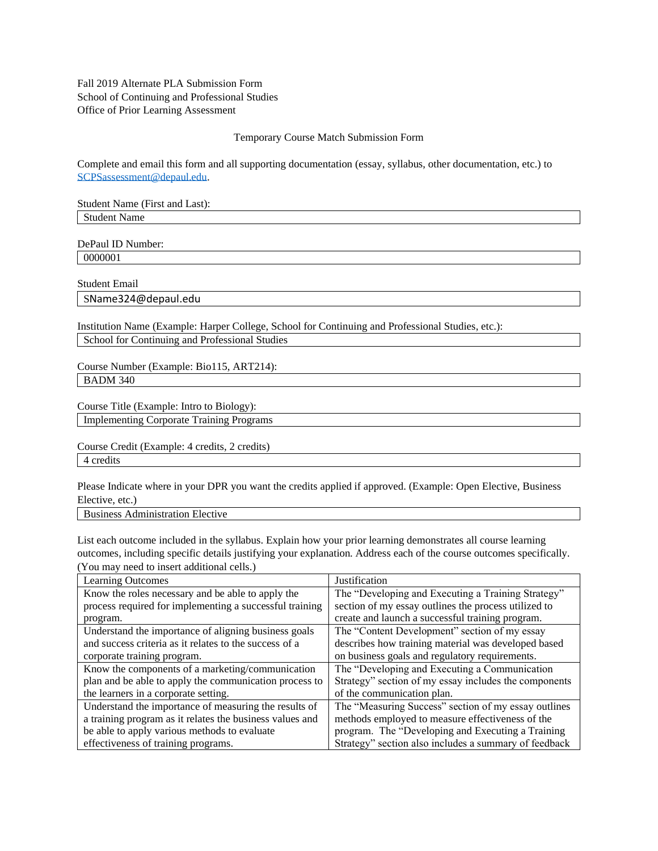Fall 2019 Alternate PLA Submission Form School of Continuing and Professional Studies Office of Prior Learning Assessment

## Temporary Course Match Submission Form

Complete and email this form and all supporting documentation (essay, syllabus, other documentation, etc.) to [SCPSassessment@depaul.edu.](mailto:SCPSassessment@depaul.edu)

Student Name (First and Last): Student Name

DePaul ID Number: 0000001

Student Email

SName324@depaul.edu

Institution Name (Example: Harper College, School for Continuing and Professional Studies, etc.): School for Continuing and Professional Studies

Course Number (Example: Bio115, ART214): BADM 340

Course Title (Example: Intro to Biology):

Implementing Corporate Training Programs

Course Credit (Example: 4 credits, 2 credits) 4 credits

Please Indicate where in your DPR you want the credits applied if approved. (Example: Open Elective, Business Elective, etc.)

Business Administration Elective

List each outcome included in the syllabus. Explain how your prior learning demonstrates all course learning outcomes, including specific details justifying your explanation. Address each of the course outcomes specifically. (You may need to insert additional cells.)

| Learning Outcomes                                        | Justification                                         |
|----------------------------------------------------------|-------------------------------------------------------|
| Know the roles necessary and be able to apply the        | The "Developing and Executing a Training Strategy"    |
| process required for implementing a successful training  | section of my essay outlines the process utilized to  |
| program.                                                 | create and launch a successful training program.      |
| Understand the importance of aligning business goals     | The "Content Development" section of my essay         |
| and success criteria as it relates to the success of a   | describes how training material was developed based   |
| corporate training program.                              | on business goals and regulatory requirements.        |
| Know the components of a marketing/communication         | The "Developing and Executing a Communication"        |
| plan and be able to apply the communication process to   | Strategy" section of my essay includes the components |
| the learners in a corporate setting.                     | of the communication plan.                            |
| Understand the importance of measuring the results of    | The "Measuring Success" section of my essay outlines  |
| a training program as it relates the business values and | methods employed to measure effectiveness of the      |
| be able to apply various methods to evaluate             | program. The "Developing and Executing a Training     |
| effectiveness of training programs.                      | Strategy" section also includes a summary of feedback |